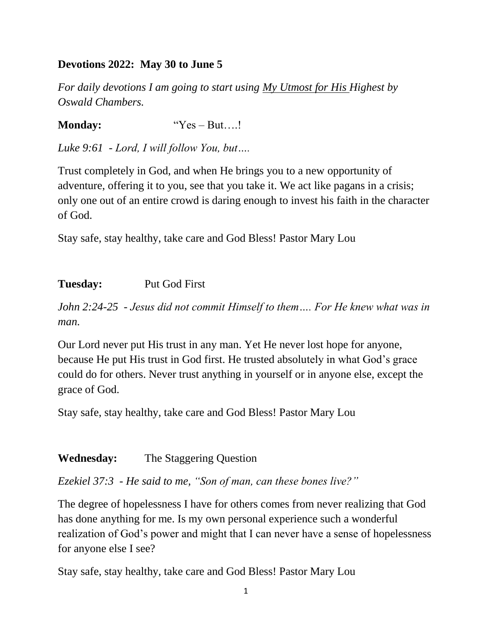## **Devotions 2022: May 30 to June 5**

*For daily devotions I am going to start using My Utmost for His Highest by Oswald Chambers.*

**Monday:** "Yes – But....!"

*Luke 9:61 - Lord, I will follow You, but….*

Trust completely in God, and when He brings you to a new opportunity of adventure, offering it to you, see that you take it. We act like pagans in a crisis; only one out of an entire crowd is daring enough to invest his faith in the character of God.

Stay safe, stay healthy, take care and God Bless! Pastor Mary Lou

## **Tuesday:** Put God First

*John 2:24-25 - Jesus did not commit Himself to them…. For He knew what was in man.*

Our Lord never put His trust in any man. Yet He never lost hope for anyone, because He put His trust in God first. He trusted absolutely in what God's grace could do for others. Never trust anything in yourself or in anyone else, except the grace of God.

Stay safe, stay healthy, take care and God Bless! Pastor Mary Lou

### **Wednesday:** The Staggering Question

*Ezekiel 37:3 - He said to me, "Son of man, can these bones live?"*

The degree of hopelessness I have for others comes from never realizing that God has done anything for me. Is my own personal experience such a wonderful realization of God's power and might that I can never have a sense of hopelessness for anyone else I see?

Stay safe, stay healthy, take care and God Bless! Pastor Mary Lou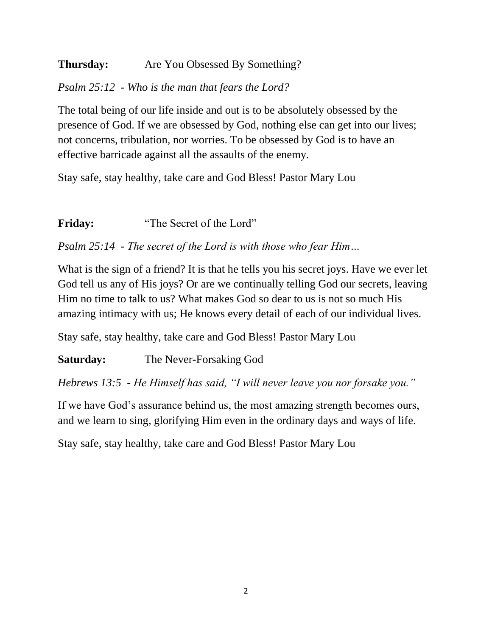# **Thursday:** Are You Obsessed By Something?

## *Psalm 25:12 - Who is the man that fears the Lord?*

The total being of our life inside and out is to be absolutely obsessed by the presence of God. If we are obsessed by God, nothing else can get into our lives; not concerns, tribulation, nor worries. To be obsessed by God is to have an effective barricade against all the assaults of the enemy.

Stay safe, stay healthy, take care and God Bless! Pastor Mary Lou

**Friday:** "The Secret of the Lord"

*Psalm 25:14 - The secret of the Lord is with those who fear Him…*

What is the sign of a friend? It is that he tells you his secret joys. Have we ever let God tell us any of His joys? Or are we continually telling God our secrets, leaving Him no time to talk to us? What makes God so dear to us is not so much His amazing intimacy with us; He knows every detail of each of our individual lives.

Stay safe, stay healthy, take care and God Bless! Pastor Mary Lou

**Saturday:** The Never-Forsaking God

*Hebrews 13:5 - He Himself has said, "I will never leave you nor forsake you."*

If we have God's assurance behind us, the most amazing strength becomes ours, and we learn to sing, glorifying Him even in the ordinary days and ways of life.

Stay safe, stay healthy, take care and God Bless! Pastor Mary Lou